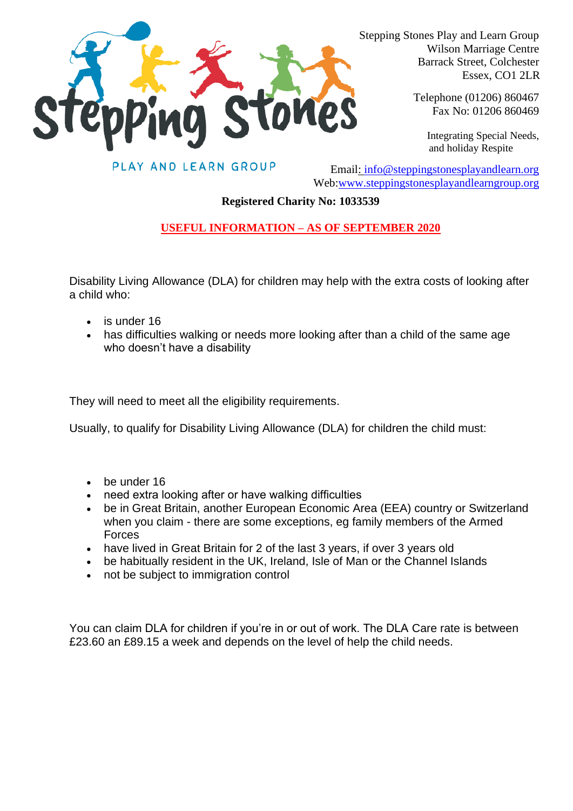

 Stepping Stones Play and Learn Group Wilson Marriage Centre Barrack Street, Colchester Essex, CO1 2LR

> Telephone (01206) 860467 Fax No: 01206 860469

Integrating Special Needs, and holiday Respite

PLAY AND LEARN GROUP

Email: [info@steppingstonesplayandlearn.org](mailto:info@steppingstonesplayandlearn.org) Web[:www.steppingstonesplayandlearngroup.org](http://www.steppingstonesplayandlearngroup.org/)

## **Registered Charity No: 1033539**

## **USEFUL INFORMATION – AS OF SEPTEMBER 2020**

Disability Living Allowance (DLA) for children may help with the extra costs of looking after a child who:

- is under 16
- has difficulties walking or needs more looking after than a child of the same age who doesn't have a disability

They will need to meet all the [eligibility requirements.](https://www.gov.uk/disability-living-allowance-children/eligibility)

Usually, to qualify for Disability Living Allowance (DLA) for children the child must:

- be under 16
- need extra looking after or have walking difficulties
- be in Great Britain, another European Economic Area (EEA) country or Switzerland when you claim - there are some exceptions, eg family members of the Armed Forces
- have lived in Great Britain for 2 of the last 3 years, if over 3 years old
- be [habitually resident](http://www.adviceguide.org.uk/england/benefits_e/benefits_coming_from_abroad_and_claiming_benefits_hrt/benefits_the_habitual_residence_test_introduction/what_is_the_habitual_residence_test.htm) in the UK, Ireland, Isle of Man or the Channel Islands
- not be subject to [immigration control](http://www.adviceguide.org.uk/england/benefits_e/benefits_coming_from_abroad_and_claiming_benefits_hrt/non-eea_nationals_and_the_hrt/are_you_subject_to_immigration_control_hrt.htm)

You can claim DLA for children if you're in or out of work. The DLA Care rate is between £23.60 an £89.15 a week and depends on the level of help the child needs.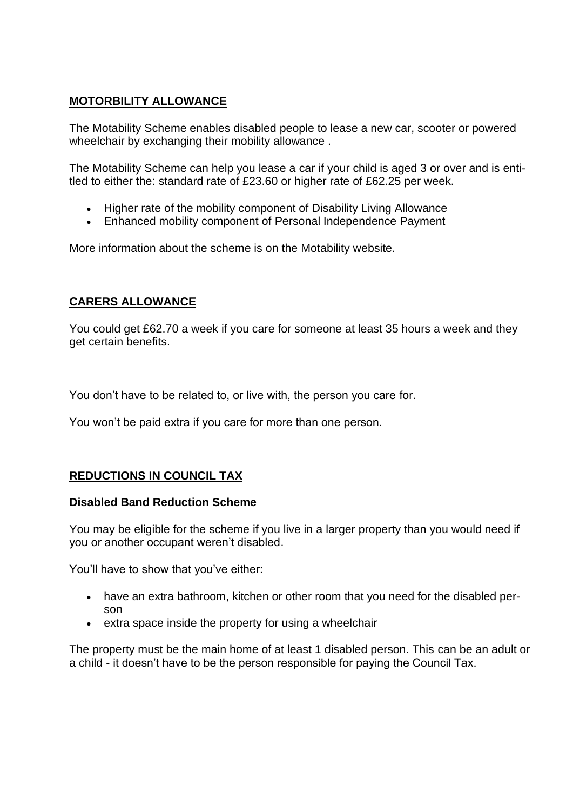# **MOTORBILITY ALLOWANCE**

The Motability Scheme enables disabled people to lease a new car, scooter or powered wheelchair by exchanging their [mobility allowance](http://www.motability.co.uk/about-the-scheme/allowances/).

The Motability Scheme can help you lease a car if your child is aged 3 or over and is entitled to either the: standard rate of £23.60 or higher rate of £62.25 per week.

- Higher rate of the mobility component of [Disability Living Allowance](https://www.gov.uk/dla-disability-living-allowance-benefit)
- Enhanced mobility component of [Personal Independence Payment](https://www.gov.uk/pip)

More information about the scheme is on the [Motability website.](http://www.motability.co.uk/main.cfm)

## **CARERS ALLOWANCE**

You could get £62.70 a week if you care for someone at least 35 hours a week and they get [certain benefits.](https://www.gov.uk/carers-allowance/eligibility)

You don't have to be related to, or live with, the person you care for.

You won't be paid extra if you care for more than one person.

## **REDUCTIONS IN COUNCIL TAX**

### **Disabled Band Reduction Scheme**

You may be eligible for the scheme if you live in a larger property than you would need if you or another occupant weren't disabled.

You'll have to show that you've either:

- have an extra bathroom, kitchen or other room that you need for the disabled person
- extra space inside the property for using a wheelchair

The property must be the main home of at least 1 disabled person. This can be an adult or a child - it doesn't have to be the person responsible for paying the Council Tax.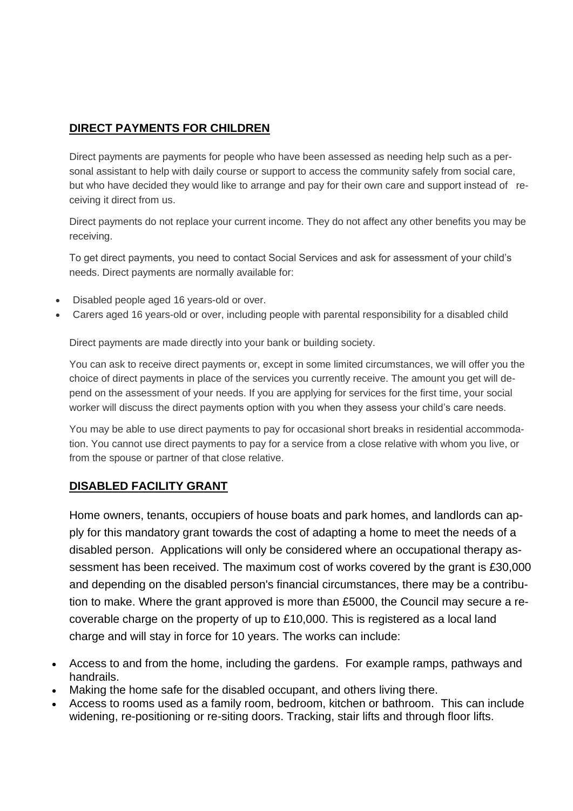# **DIRECT PAYMENTS FOR CHILDREN**

Direct payments are payments for people who have been assessed as needing help such as a personal assistant to help with daily course or support to access the community safely from social care, but who have decided they would like to arrange and pay for their own care and support instead of receiving it direct from us.

Direct payments do not replace your current income. They do not affect any other benefits you may be receiving.

To get direct payments, you need to contact Social Services and ask for assessment of your child's needs. Direct payments are normally available for:

- Disabled people aged 16 years-old or over.
- Carers aged 16 years-old or over, including people with parental responsibility for a disabled child

Direct payments are made directly into your bank or building society.

You can ask to receive direct payments or, except in some limited circumstances, we will offer you the choice of direct payments in place of the services you currently receive. The amount you get will depend on the assessment of your needs. If you are applying for services for the first time, your social worker will discuss the direct payments option with you when they assess your child's care needs.

You may be able to use direct payments to pay for occasional short breaks in residential accommodation. You cannot use direct payments to pay for a service from a close relative with whom you live, or from the spouse or partner of that close relative.

## **DISABLED FACILITY GRANT**

Home owners, tenants, occupiers of house boats and park homes, and landlords can apply for this mandatory grant towards the cost of adapting a home to meet the needs of a disabled person. Applications will only be considered where an occupational therapy assessment has been received. The maximum cost of works covered by the grant is £30,000 and depending on the disabled person's financial circumstances, there may be a contribution to make. Where the grant approved is more than £5000, the Council may secure a recoverable charge on the property of up to £10,000. This is registered as a local land charge and will stay in force for 10 years. The works can include:

- Access to and from the home, including the gardens. For example ramps, pathways and handrails.
- Making the home safe for the disabled occupant, and others living there.
- Access to rooms used as a family room, bedroom, kitchen or bathroom. This can include widening, re-positioning or re-siting doors. Tracking, stair lifts and through floor lifts.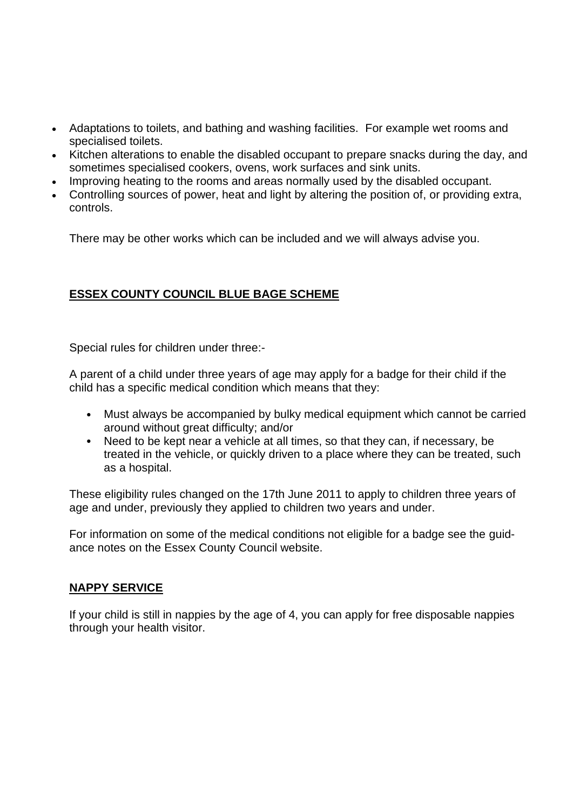- Adaptations to toilets, and bathing and washing facilities. For example wet rooms and specialised toilets.
- Kitchen alterations to enable the disabled occupant to prepare snacks during the day, and sometimes specialised cookers, ovens, work surfaces and sink units.
- Improving heating to the rooms and areas normally used by the disabled occupant.
- Controlling sources of power, heat and light by altering the position of, or providing extra, controls.

There may be other works which can be included and we will always advise you.

# **ESSEX COUNTY COUNCIL BLUE BAGE SCHEME**

Special rules for children under three:-

A parent of a child under three years of age may apply for a badge for their child if the child has a specific medical condition which means that they:

- Must always be accompanied by bulky medical equipment which cannot be carried around without great difficulty; and/or
- Need to be kept near a vehicle at all times, so that they can, if necessary, be treated in the vehicle, or quickly driven to a place where they can be treated, such as a hospital.

These eligibility rules changed on the 17th June 2011 to apply to children three years of age and under, previously they applied to children two years and under.

For information on some of the medical conditions not eligible for a badge see the [guid](https://www.essex.gov.uk/Health-Social-Care/Health-and-social-care-for-adults/Blue-Badges/Documents/Blue_Badge_Guide_Notes.pdf)[ance notes](https://www.essex.gov.uk/Health-Social-Care/Health-and-social-care-for-adults/Blue-Badges/Documents/Blue_Badge_Guide_Notes.pdf) on the Essex County Council website.

### **NAPPY SERVICE**

If your child is still in nappies by the age of 4, you can apply for free disposable nappies through your health visitor.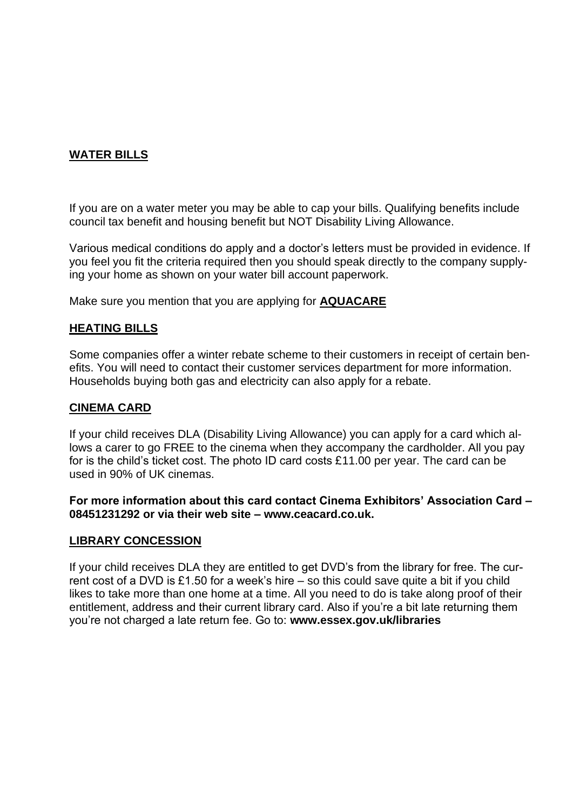# **WATER BILLS**

If you are on a water meter you may be able to cap your bills. Qualifying benefits include council tax benefit and housing benefit but NOT Disability Living Allowance.

Various medical conditions do apply and a doctor's letters must be provided in evidence. If you feel you fit the criteria required then you should speak directly to the company supplying your home as shown on your water bill account paperwork.

Make sure you mention that you are applying for **AQUACARE**

### **HEATING BILLS**

Some companies offer a winter rebate scheme to their customers in receipt of certain benefits. You will need to contact their customer services department for more information. Households buying both gas and electricity can also apply for a rebate.

#### **CINEMA CARD**

If your child receives DLA (Disability Living Allowance) you can apply for a card which allows a carer to go FREE to the cinema when they accompany the cardholder. All you pay for is the child's ticket cost. The photo ID card costs £11.00 per year. The card can be used in 90% of UK cinemas.

#### **For more information about this card contact Cinema Exhibitors' Association Card – 08451231292 or via their web site – www.ceacard.co.uk.**

### **LIBRARY CONCESSION**

If your child receives DLA they are entitled to get DVD's from the library for free. The current cost of a DVD is £1.50 for a week's hire – so this could save quite a bit if you child likes to take more than one home at a time. All you need to do is take along proof of their entitlement, address and their current library card. Also if you're a bit late returning them you're not charged a late return fee. Go to: **www.essex.gov.uk/libraries**